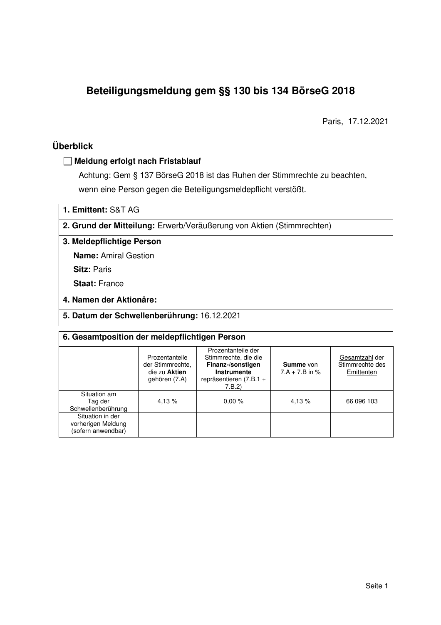# **Beteiligungsmeldung gem §§ 130 bis 134 BörseG 2018**

Paris, 17.12.2021

### **Überblick**

#### **Meldung erfolgt nach Fristablauf**

Achtung: Gem § 137 BörseG 2018 ist das Ruhen der Stimmrechte zu beachten, wenn eine Person gegen die Beteiligungsmeldepflicht verstößt.

**1. Emittent:** S&T AG

**2. Grund der Mitteilung:** Erwerb/Veräußerung von Aktien (Stimmrechten)

**3. Meldepflichtige Person** 

**Name:** Amiral Gestion

**Sitz: Paris** 

**Staat:** France

#### **4. Namen der Aktionäre:**

**5. Datum der Schwellenberührung:** 16.12.2021

| 6. Gesamtposition der meldepflichtigen Person                |                                                                      |                                                                                                                      |                                      |                                                 |  |  |
|--------------------------------------------------------------|----------------------------------------------------------------------|----------------------------------------------------------------------------------------------------------------------|--------------------------------------|-------------------------------------------------|--|--|
|                                                              | Prozentanteile<br>der Stimmrechte.<br>die zu Aktien<br>gehören (7.A) | Prozentanteile der<br>Stimmrechte, die die<br>Finanz-/sonstigen<br>Instrumente<br>repräsentieren $(7.B.1 +$<br>7.B.2 | <b>Summe</b> von<br>$7.A + 7.B$ in % | Gesamtzahl der<br>Stimmrechte des<br>Emittenten |  |  |
| Situation am<br>Tag der<br>Schwellenberührung                | 4.13%                                                                | 0.00%                                                                                                                | 4.13 %                               | 66 096 103                                      |  |  |
| Situation in der<br>vorherigen Meldung<br>(sofern anwendbar) |                                                                      |                                                                                                                      |                                      |                                                 |  |  |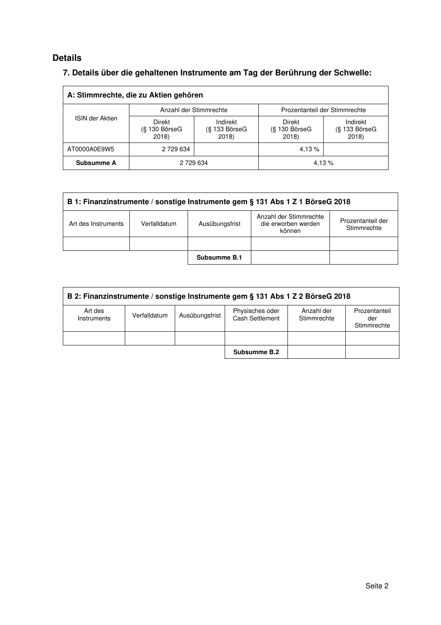### **Details**

### **7. Details über die gehaltenen Instrumente am Tag der Berührung der Schwelle:**

| A: Stimmrechte, die zu Aktien gehören |                                                                               |  |                                    |                                    |  |  |
|---------------------------------------|-------------------------------------------------------------------------------|--|------------------------------------|------------------------------------|--|--|
|                                       | Anzahl der Stimmrechte                                                        |  | Prozentanteil der Stimmrechte      |                                    |  |  |
| <b>ISIN der Aktien</b>                | Direkt<br>Indirekt<br>$(S$ 130 BörseG<br>$(S$ 133 Börse $G$<br>2018)<br>2018) |  | Direkt<br>$(S$ 130 BörseG<br>2018) | Indirekt<br>(§ 133 BörseG<br>2018) |  |  |
| AT0000A0E9W5                          | 2 729 634                                                                     |  | 4.13%                              |                                    |  |  |
| Subsumme A                            | 2 729 634                                                                     |  | 4.13%                              |                                    |  |  |

| B 1: Finanzinstrumente / sonstige Instrumente gem § 131 Abs 1 Z 1 BörseG 2018 |              |                |                                                         |                                  |  |  |
|-------------------------------------------------------------------------------|--------------|----------------|---------------------------------------------------------|----------------------------------|--|--|
| Art des Instruments                                                           | Verfalldatum | Ausübungsfrist | Anzahl der Stimmrechte<br>die erworben werden<br>können | Prozentanteil der<br>Stimmrechte |  |  |
|                                                                               |              |                |                                                         |                                  |  |  |
|                                                                               |              | Subsumme B.1   |                                                         |                                  |  |  |

| B 2: Finanzinstrumente / sonstige Instrumente gem § 131 Abs 1 Z 2 BörseG 2018 |              |                |                                           |                           |                                     |  |
|-------------------------------------------------------------------------------|--------------|----------------|-------------------------------------------|---------------------------|-------------------------------------|--|
| Art des<br>Instruments                                                        | Verfalldatum | Ausübungsfrist | Physisches oder<br><b>Cash Settlement</b> | Anzahl der<br>Stimmrechte | Prozentanteil<br>der<br>Stimmrechte |  |
|                                                                               |              |                |                                           |                           |                                     |  |
|                                                                               |              |                | Subsumme B.2                              |                           |                                     |  |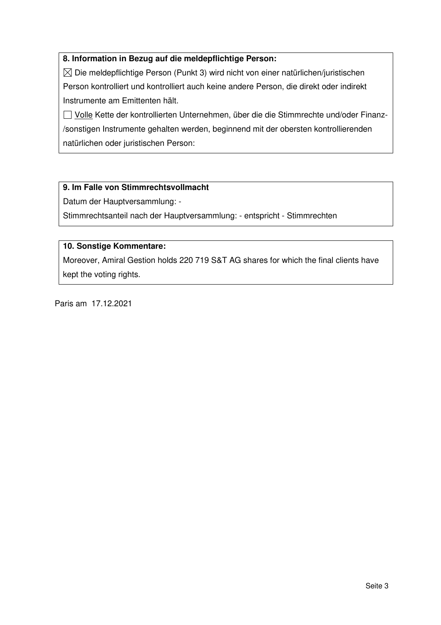#### **8. Information in Bezug auf die meldepflichtige Person:**

 $\boxtimes$  Die meldepflichtige Person (Punkt 3) wird nicht von einer natürlichen/juristischen Person kontrolliert und kontrolliert auch keine andere Person, die direkt oder indirekt Instrumente am Emittenten hält.

□ Volle Kette der kontrollierten Unternehmen, über die die Stimmrechte und/oder Finanz-/sonstigen Instrumente gehalten werden, beginnend mit der obersten kontrollierenden natürlichen oder juristischen Person:

#### **9. Im Falle von Stimmrechtsvollmacht**

Datum der Hauptversammlung: -

Stimmrechtsanteil nach der Hauptversammlung: - entspricht - Stimmrechten

#### **10. Sonstige Kommentare:**

Moreover, Amiral Gestion holds 220 719 S&T AG shares for which the final clients have kept the voting rights.

Paris am 17.12.2021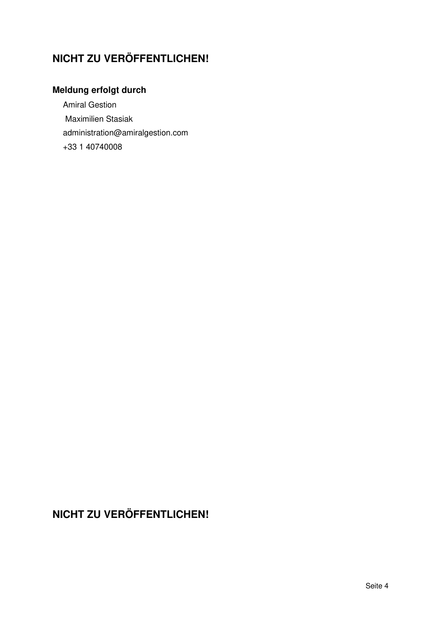# **NICHT ZU VERÖFFENTLICHEN!**

# **Meldung erfolgt durch**

Amiral Gestion Maximilien Stasiak administration@amiralgestion.com +33 1 40740008

# **NICHT ZU VERÖFFENTLICHEN!**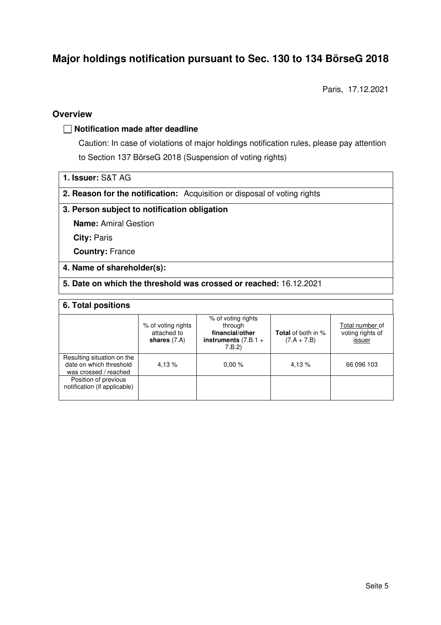## **Major holdings notification pursuant to Sec. 130 to 134 BörseG 2018**

Paris, 17.12.2021

#### **Overview**

#### **Notification made after deadline**

Caution: In case of violations of major holdings notification rules, please pay attention to Section 137 BörseG 2018 (Suspension of voting rights)

| 1. Issuer: S&T AG |
|-------------------|
|-------------------|

**2. Reason for the notification:** Acquisition or disposal of voting rights

#### **3. Person subject to notification obligation**

**Name:** Amiral Gestion

**City:** Paris

**Country:** France

#### **4. Name of shareholder(s):**

**5. Date on which the threshold was crossed or reached:** 16.12.2021

#### **6. Total positions**

|                                                                                | % of voting rights<br>attached to<br>shares $(7.A)$ | % of voting rights<br>through<br>financial/other<br>instruments $(7.B.1 +$<br>7.B.2 | <b>Total</b> of both in %<br>$(7.A + 7.B)$ | Total number of<br>voting rights of<br>issuer |
|--------------------------------------------------------------------------------|-----------------------------------------------------|-------------------------------------------------------------------------------------|--------------------------------------------|-----------------------------------------------|
| Resulting situation on the<br>date on which threshold<br>was crossed / reached | 4,13 %                                              | 0.00%                                                                               | 4.13 %                                     | 66 096 103                                    |
| Position of previous<br>notification (if applicable)                           |                                                     |                                                                                     |                                            |                                               |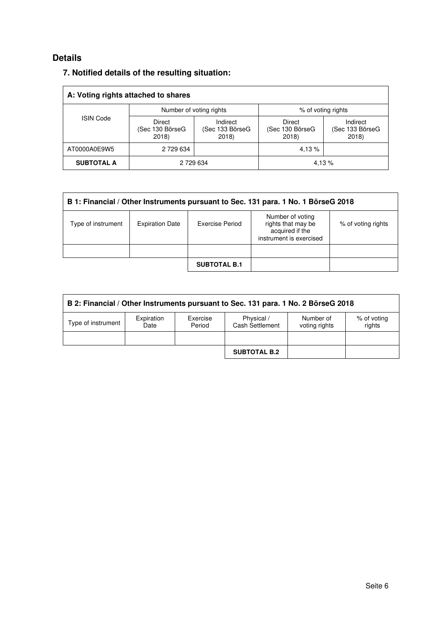### **Details**

| A: Voting rights attached to shares |                                   |                                      |                                    |                                      |  |  |
|-------------------------------------|-----------------------------------|--------------------------------------|------------------------------------|--------------------------------------|--|--|
|                                     | Number of voting rights           |                                      | % of voting rights                 |                                      |  |  |
| <b>ISIN Code</b>                    | Direct<br>(Sec 130 BörseG<br>2018 | Indirect<br>(Sec 133 BörseG<br>2018) | Direct<br>(Sec 130 BörseG<br>2018) | Indirect<br>(Sec 133 BörseG<br>2018) |  |  |
| AT0000A0E9W5                        | 2 729 634                         |                                      | 4.13%                              |                                      |  |  |
| <b>SUBTOTAL A</b>                   | 2 729 634                         |                                      |                                    | 4,13 %                               |  |  |

### **7. Notified details of the resulting situation:**

| B 1: Financial / Other Instruments pursuant to Sec. 131 para. 1 No. 1 BörseG 2018 |                        |                     |                                                                                      |                    |  |  |
|-----------------------------------------------------------------------------------|------------------------|---------------------|--------------------------------------------------------------------------------------|--------------------|--|--|
| Type of instrument                                                                | <b>Expiration Date</b> | Exercise Period     | Number of voting<br>rights that may be<br>acquired if the<br>instrument is exercised | % of voting rights |  |  |
|                                                                                   |                        |                     |                                                                                      |                    |  |  |
|                                                                                   |                        | <b>SUBTOTAL B.1</b> |                                                                                      |                    |  |  |

| B 2: Financial / Other Instruments pursuant to Sec. 131 para. 1 No. 2 BörseG 2018 |                    |                    |                                      |                            |                       |  |
|-----------------------------------------------------------------------------------|--------------------|--------------------|--------------------------------------|----------------------------|-----------------------|--|
| Type of instrument                                                                | Expiration<br>Date | Exercise<br>Period | Physical /<br><b>Cash Settlement</b> | Number of<br>voting rights | % of voting<br>rights |  |
|                                                                                   |                    |                    |                                      |                            |                       |  |
|                                                                                   |                    |                    | <b>SUBTOTAL B.2</b>                  |                            |                       |  |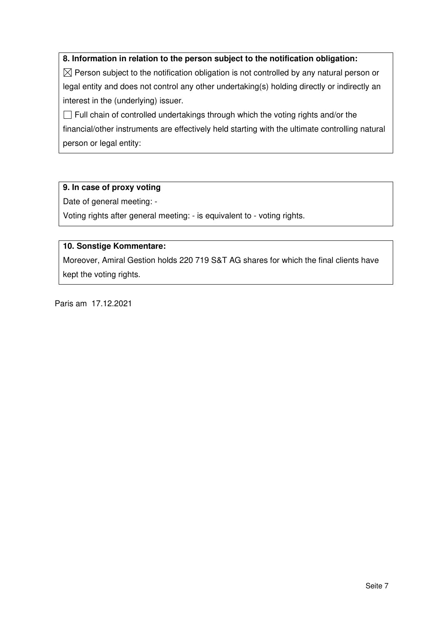#### **8. Information in relation to the person subject to the notification obligation:**

 $\boxtimes$  Person subject to the notification obligation is not controlled by any natural person or legal entity and does not control any other undertaking(s) holding directly or indirectly an interest in the (underlying) issuer.

 $\Box$  Full chain of controlled undertakings through which the voting rights and/or the financial/other instruments are effectively held starting with the ultimate controlling natural person or legal entity:

#### **9. In case of proxy voting**

Date of general meeting: -

Voting rights after general meeting: - is equivalent to - voting rights.

#### **10. Sonstige Kommentare:**

Moreover, Amiral Gestion holds 220 719 S&T AG shares for which the final clients have kept the voting rights.

Paris am 17.12.2021